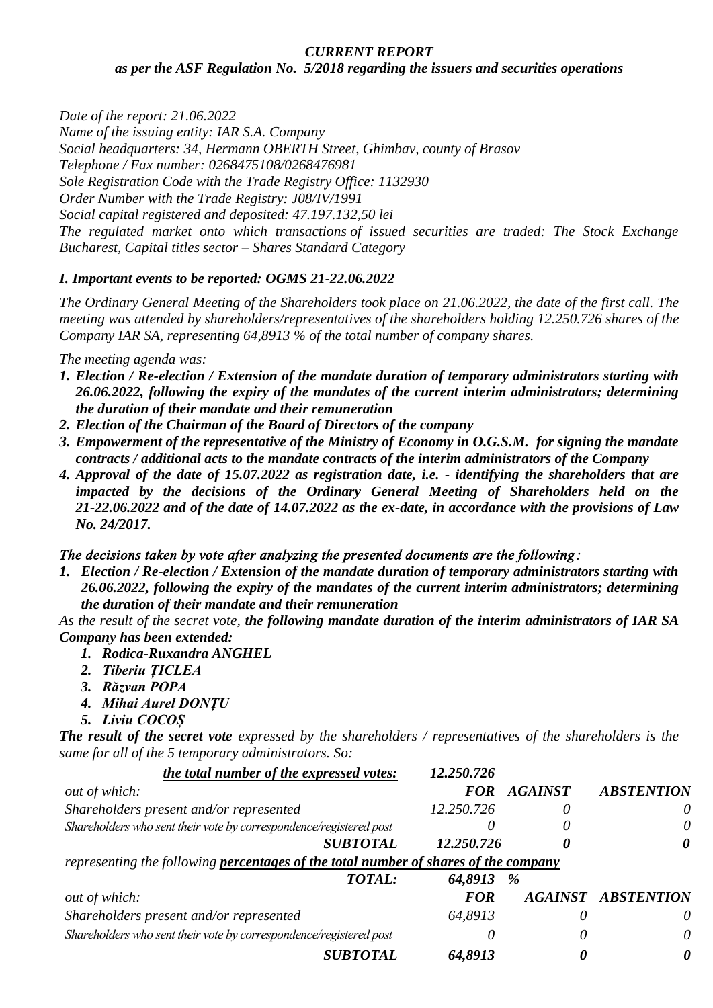## *CURRENT REPORT*

*as per the ASF Regulation No. 5/2018 regarding the issuers and securities operations*

*Date of the report: 21.06.2022 Name of the issuing entity: IAR S.A. Company Social headquarters: 34, Hermann OBERTH Street, Ghimbav, county of Brasov Telephone / Fax number: 0268475108/0268476981 Sole Registration Code with the Trade Registry Office: 1132930 Order Number with the Trade Registry: J08/IV/1991 Social capital registered and deposited: 47.197.132,50 lei The regulated market onto which transactions of issued securities are traded: The Stock Exchange Bucharest, Capital titles sector – Shares Standard Category*

## *I. Important events to be reported: OGMS 21-22.06.2022*

*The Ordinary General Meeting of the Shareholders took place on 21.06.2022, the date of the first call. The meeting was attended by shareholders/representatives of the shareholders holding 12.250.726 shares of the Company IAR SA, representing 64,8913 % of the total number of company shares.*

*The meeting agenda was:*

- *1. Election / Re-election / Extension of the mandate duration of temporary administrators starting with 26.06.2022, following the expiry of the mandates of the current interim administrators; determining the duration of their mandate and their remuneration*
- *2. Election of the Chairman of the Board of Directors of the company*
- *3. Empowerment of the representative of the Ministry of Economy in O.G.S.M. for signing the mandate contracts / additional acts to the mandate contracts of the interim administrators of the Company*
- *4. Approval of the date of 15.07.2022 as registration date, i.e. - identifying the shareholders that are impacted by the decisions of the Ordinary General Meeting of Shareholders held on the 21-22.06.2022 and of the date of 14.07.2022 as the ex-date, in accordance with the provisions of Law No. 24/2017.*

## *The decisions taken by vote after analyzing the presented documents are the following:*

*1. Election / Re-election / Extension of the mandate duration of temporary administrators starting with 26.06.2022, following the expiry of the mandates of the current interim administrators; determining the duration of their mandate and their remuneration*

*As the result of the secret vote, the following mandate duration of the interim administrators of IAR SA Company has been extended:*

- *1. Rodica-Ruxandra ANGHEL*
- *2. Tiberiu ȚICLEA*
- *3. Răzvan POPA*
- *4. Mihai Aurel DONȚU*
- *5. Liviu COCOȘ*

*The result of the secret vote expressed by the shareholders / representatives of the shareholders is the same for all of the 5 temporary administrators. So:*

| the total number of the expressed votes:                                            | 12.250.726 |                |                           |
|-------------------------------------------------------------------------------------|------------|----------------|---------------------------|
| <i>out of which:</i>                                                                | <i>FOR</i> | <b>AGAINST</b> | <b>ABSTENTION</b>         |
| Shareholders present and/or represented                                             | 12.250.726 | 0              |                           |
| Shareholders who sent their vote by correspondence/registered post                  |            |                |                           |
| <b>SUBTOTAL</b>                                                                     | 12.250.726 |                |                           |
| representing the following percentages of the total number of shares of the company |            |                |                           |
| <b>TOTAL:</b>                                                                       | 64,8913    | %              |                           |
| <i>out of which:</i>                                                                | <b>FOR</b> |                | <b>AGAINST ABSTENTION</b> |
| Shareholders present and/or represented                                             | 64,8913    |                |                           |
| Shareholders who sent their vote by correspondence/registered post                  | 0          |                |                           |
| SUBTOTAL                                                                            | 64,8913    |                |                           |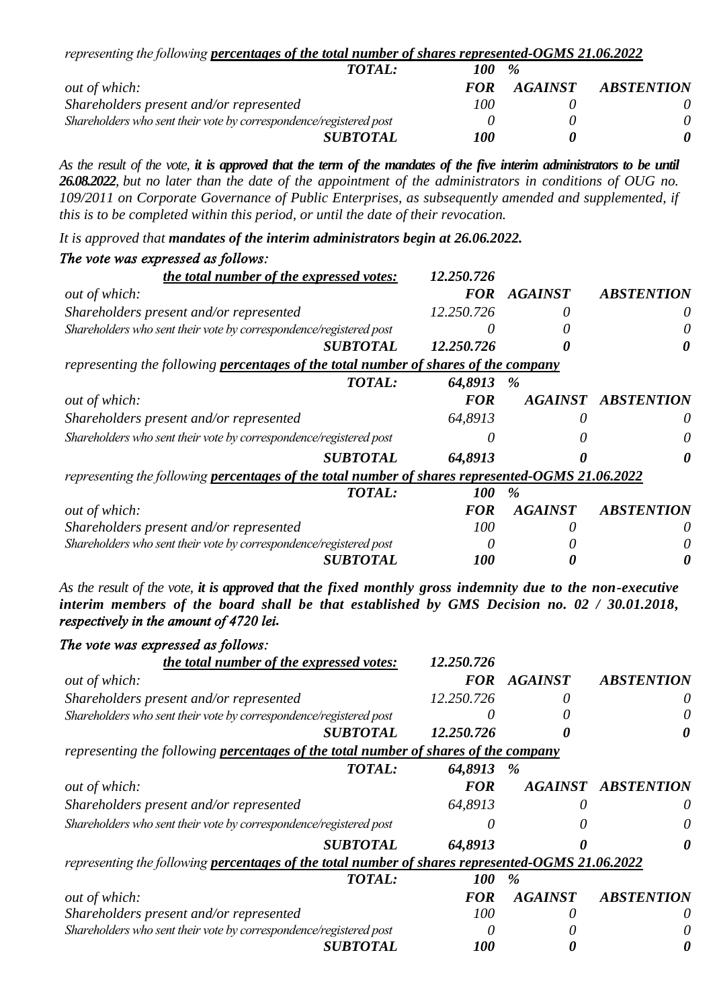| representing the following percentages of the total number of shares represented-OGMS 21.06.2022 |            |                |                   |
|--------------------------------------------------------------------------------------------------|------------|----------------|-------------------|
| <i>TOTAL:</i>                                                                                    | 100        | $\frac{a}{2}$  |                   |
| <i>out of which:</i>                                                                             | <b>FOR</b> | <b>AGAINST</b> | <b>ABSTENTION</b> |
| Shareholders present and/or represented                                                          | 100        |                |                   |
| Shareholders who sent their vote by correspondence/registered post                               |            |                |                   |
| <b>SUBTOTAL</b>                                                                                  | 100        |                |                   |

*As the result of the vote, it is approved that the term of the mandates of the five interim administrators to be until 26.08.2022, but no later than the date of the appointment of the administrators in conditions of OUG no. 109/2011 on Corporate Governance of Public Enterprises, as subsequently amended and supplemented, if this is to be completed within this period, or until the date of their revocation.*

*It is approved that mandates of the interim administrators begin at 26.06.2022.*

| The vote was expressed as follows:                                                               |            |                |                           |
|--------------------------------------------------------------------------------------------------|------------|----------------|---------------------------|
| the total number of the expressed votes:                                                         | 12.250.726 |                |                           |
| <i>out of which:</i>                                                                             |            | FOR AGAINST    | <b>ABSTENTION</b>         |
| Shareholders present and/or represented                                                          | 12.250.726 |                |                           |
| Shareholders who sent their vote by correspondence/registered post                               |            |                |                           |
| <b>SUBTOTAL</b>                                                                                  | 12.250.726 |                |                           |
| representing the following <b>percentages of the total number of shares of the company</b>       |            |                |                           |
| TOTAL:                                                                                           | 64,8913    | %              |                           |
| out of which:                                                                                    | <b>FOR</b> |                | <b>AGAINST ABSTENTION</b> |
| Shareholders present and/or represented                                                          | 64,8913    |                |                           |
| Shareholders who sent their vote by correspondence/registered post                               |            |                |                           |
| <b>SUBTOTAL</b>                                                                                  | 64,8913    |                |                           |
| representing the following percentages of the total number of shares represented-OGMS 21.06.2022 |            |                |                           |
| TOTAL:                                                                                           | 100        | $\%$           |                           |
| <i>out of which:</i>                                                                             | <b>FOR</b> | <b>AGAINST</b> | <b>ABSTENTION</b>         |
| Shareholders present and/or represented                                                          | 100        |                |                           |
| Shareholders who sent their vote by correspondence/registered post                               |            |                |                           |
| <b>SUBTOTAL</b>                                                                                  | <i>100</i> |                |                           |

*As the result of the vote, it is approved that the fixed monthly gross indemnity due to the non-executive*  interim members of the board shall be that established by GMS Decision no. 02 / 30.01.2018, *respectively in the amount of 4720 lei.*

| The vote was expressed as follows:                                                               |                   |                |                           |
|--------------------------------------------------------------------------------------------------|-------------------|----------------|---------------------------|
| the total number of the expressed votes:                                                         | 12.250.726        |                |                           |
| <i>out of which:</i>                                                                             | <i>FOR</i>        | <b>AGAINST</b> | <b>ABSTENTION</b>         |
| Shareholders present and/or represented                                                          | 12.250.726        |                |                           |
| Shareholders who sent their vote by correspondence/registered post                               |                   |                |                           |
| <b>SUBTOTAL</b>                                                                                  | 12.250.726        |                |                           |
| representing the following <b>percentages of the total number of shares of the company</b>       |                   |                |                           |
| <b>TOTAL:</b>                                                                                    | 64,8913           | %              |                           |
| <i>out of which:</i>                                                                             | <b>FOR</b>        |                | <b>AGAINST ABSTENTION</b> |
| Shareholders present and/or represented                                                          | 64,8913           |                | 0                         |
| Shareholders who sent their vote by correspondence/registered post                               |                   |                |                           |
| <b>SUBTOTAL</b>                                                                                  | 64,8913           |                |                           |
| representing the following percentages of the total number of shares represented-OGMS 21.06.2022 |                   |                |                           |
| TOTAL:                                                                                           | <i><b>100</b></i> | %              |                           |
| <i>out of which:</i>                                                                             | <b>FOR</b>        | <b>AGAINST</b> | <b>ABSTENTION</b>         |
| Shareholders present and/or represented                                                          | 100               |                |                           |
| Shareholders who sent their vote by correspondence/registered post                               |                   |                |                           |
| <b>SUBTOTAL</b>                                                                                  | <i>100</i>        |                |                           |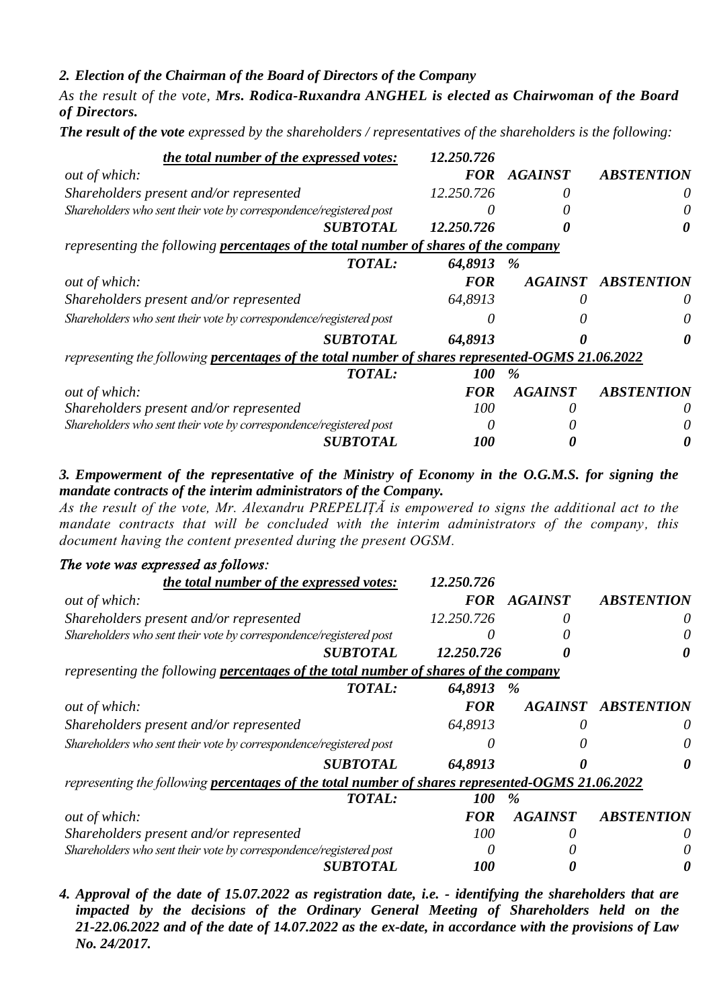## *2. Election of the Chairman of the Board of Directors of the Company*

*As the result of the vote, Mrs. Rodica-Ruxandra ANGHEL is elected as Chairwoman of the Board of Directors.*

*The result of the vote expressed by the shareholders / representatives of the shareholders is the following:*

| the total number of the expressed votes:                                                         | 12.250.726 |                |                           |
|--------------------------------------------------------------------------------------------------|------------|----------------|---------------------------|
| out of which:                                                                                    | <i>FOR</i> | <b>AGAINST</b> | <b>ABSTENTION</b>         |
| Shareholders present and/or represented                                                          | 12.250.726 |                |                           |
| Shareholders who sent their vote by correspondence/registered post                               |            |                |                           |
| <b>SUBTOTAL</b>                                                                                  | 12.250.726 |                |                           |
| representing the following <b>percentages of the total number of shares of the company</b>       |            |                |                           |
| <b>TOTAL:</b>                                                                                    | 64,8913    | %              |                           |
| <i>out of which:</i>                                                                             | <b>FOR</b> |                | <b>AGAINST ABSTENTION</b> |
| Shareholders present and/or represented                                                          | 64,8913    |                |                           |
| Shareholders who sent their vote by correspondence/registered post                               |            |                |                           |
| <b>SUBTOTAL</b>                                                                                  | 64,8913    |                |                           |
| representing the following percentages of the total number of shares represented-OGMS 21.06.2022 |            |                |                           |
| <b>TOTAL:</b>                                                                                    | <i>100</i> | %              |                           |
| out of which:                                                                                    | <b>FOR</b> | <b>AGAINST</b> | <b>ABSTENTION</b>         |
| Shareholders present and/or represented                                                          | 100        |                |                           |
| Shareholders who sent their vote by correspondence/registered post                               |            |                |                           |
| <b>SUBTOTAL</b>                                                                                  | <i>100</i> |                |                           |

*3. Empowerment of the representative of the Ministry of Economy in the O.G.M.S. for signing the mandate contracts of the interim administrators of the Company.*

*As the result of the vote, Mr. Alexandru PREPELIȚĂ is empowered to signs the additional act to the mandate contracts that will be concluded with the interim administrators of the company, this document having the content presented during the present OGSM.*

| The vote was expressed as follows:                                                               |                   |                |                           |
|--------------------------------------------------------------------------------------------------|-------------------|----------------|---------------------------|
| the total number of the expressed votes:                                                         | 12.250.726        |                |                           |
| <i>out of which:</i>                                                                             | <i>FOR</i>        | <b>AGAINST</b> | <b>ABSTENTION</b>         |
| Shareholders present and/or represented                                                          | 12.250.726        |                |                           |
| Shareholders who sent their vote by correspondence/registered post                               |                   |                |                           |
| <b>SUBTOTAL</b>                                                                                  | 12.250.726        |                |                           |
| representing the following percentages of the total number of shares of the company              |                   |                |                           |
| <b>TOTAL:</b>                                                                                    | 64,8913           | %              |                           |
| <i>out of which:</i>                                                                             | <b>FOR</b>        |                | <b>AGAINST ABSTENTION</b> |
| Shareholders present and/or represented                                                          | 64,8913           |                |                           |
| Shareholders who sent their vote by correspondence/registered post                               |                   |                |                           |
| <b>SUBTOTAL</b>                                                                                  | 64,8913           |                |                           |
| representing the following percentages of the total number of shares represented-OGMS 21.06.2022 |                   |                |                           |
| <b>TOTAL:</b>                                                                                    | <i><b>100</b></i> | $\%$           |                           |
| <i>out of which:</i>                                                                             | <b>FOR</b>        | <b>AGAINST</b> | <b>ABSTENTION</b>         |
| Shareholders present and/or represented                                                          | 100               |                |                           |
| Shareholders who sent their vote by correspondence/registered post                               |                   |                |                           |
| <b>SUBTOTAL</b>                                                                                  | <i>100</i>        |                |                           |

*4. Approval of the date of 15.07.2022 as registration date, i.e. - identifying the shareholders that are impacted by the decisions of the Ordinary General Meeting of Shareholders held on the 21-22.06.2022 and of the date of 14.07.2022 as the ex-date, in accordance with the provisions of Law No. 24/2017.*